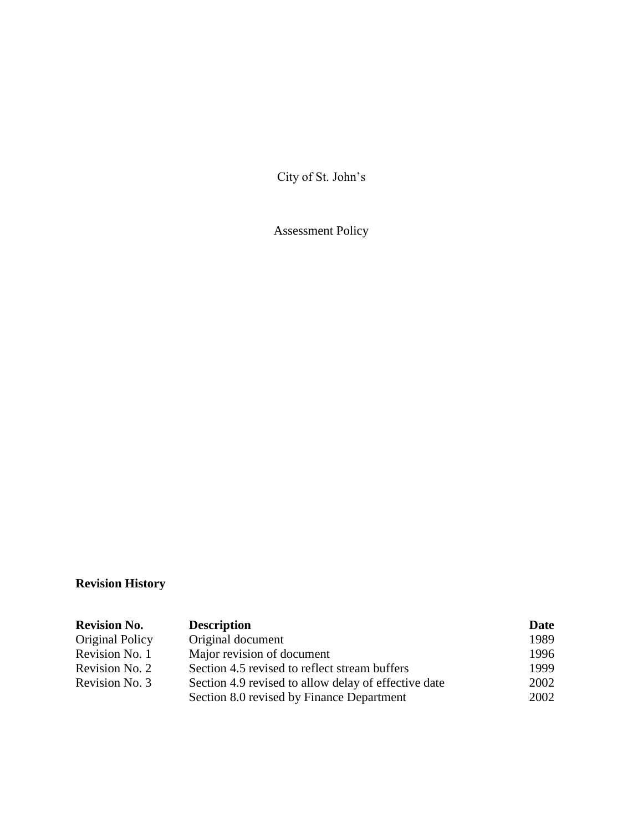City of St. John's

Assessment Policy

# **Revision History**

| <b>Revision No.</b> | <b>Description</b>                                   | Date |
|---------------------|------------------------------------------------------|------|
| Original Policy     | Original document                                    | 1989 |
| Revision No. 1      | Major revision of document                           | 1996 |
| Revision No. 2      | Section 4.5 revised to reflect stream buffers        | 1999 |
| Revision No. 3      | Section 4.9 revised to allow delay of effective date | 2002 |
|                     | Section 8.0 revised by Finance Department            | 2002 |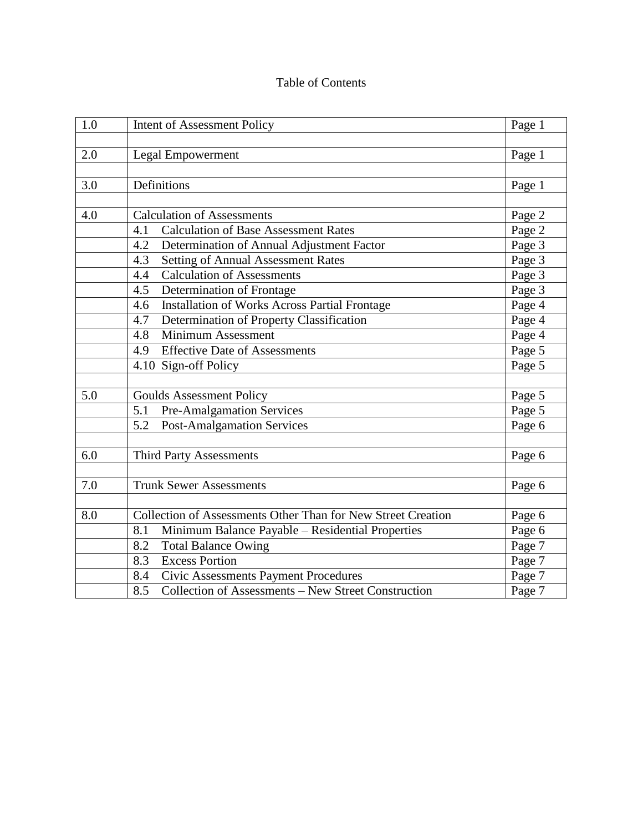# Table of Contents

| 1.0 | <b>Intent of Assessment Policy</b>                           | Page 1 |
|-----|--------------------------------------------------------------|--------|
|     |                                                              |        |
| 2.0 | <b>Legal Empowerment</b>                                     | Page 1 |
|     |                                                              |        |
| 3.0 | Definitions                                                  | Page 1 |
|     |                                                              |        |
| 4.0 | <b>Calculation of Assessments</b>                            | Page 2 |
|     | 4.1<br><b>Calculation of Base Assessment Rates</b>           | Page 2 |
|     | Determination of Annual Adjustment Factor<br>4.2             | Page 3 |
|     | <b>Setting of Annual Assessment Rates</b><br>4.3             | Page 3 |
|     | <b>Calculation of Assessments</b><br>4.4                     | Page 3 |
|     | Determination of Frontage<br>4.5                             | Page 3 |
|     | Installation of Works Across Partial Frontage<br>4.6         | Page 4 |
|     | 4.7<br>Determination of Property Classification              | Page 4 |
|     | Minimum Assessment<br>4.8                                    | Page 4 |
|     | <b>Effective Date of Assessments</b><br>4.9                  | Page 5 |
|     | 4.10 Sign-off Policy                                         | Page 5 |
|     |                                                              |        |
| 5.0 | <b>Goulds Assessment Policy</b>                              | Page 5 |
|     | 5.1<br>Pre-Amalgamation Services                             | Page 5 |
|     | <b>Post-Amalgamation Services</b><br>5.2                     | Page 6 |
|     |                                                              |        |
| 6.0 | <b>Third Party Assessments</b>                               | Page 6 |
|     |                                                              |        |
| 7.0 | <b>Trunk Sewer Assessments</b>                               | Page 6 |
|     |                                                              |        |
| 8.0 | Collection of Assessments Other Than for New Street Creation | Page 6 |
|     | 8.1<br>Minimum Balance Payable - Residential Properties      | Page 6 |
|     | 8.2<br><b>Total Balance Owing</b>                            | Page 7 |
|     | <b>Excess Portion</b><br>8.3                                 | Page 7 |
|     | Civic Assessments Payment Procedures<br>8.4                  | Page 7 |
|     | 8.5<br>Collection of Assessments - New Street Construction   | Page 7 |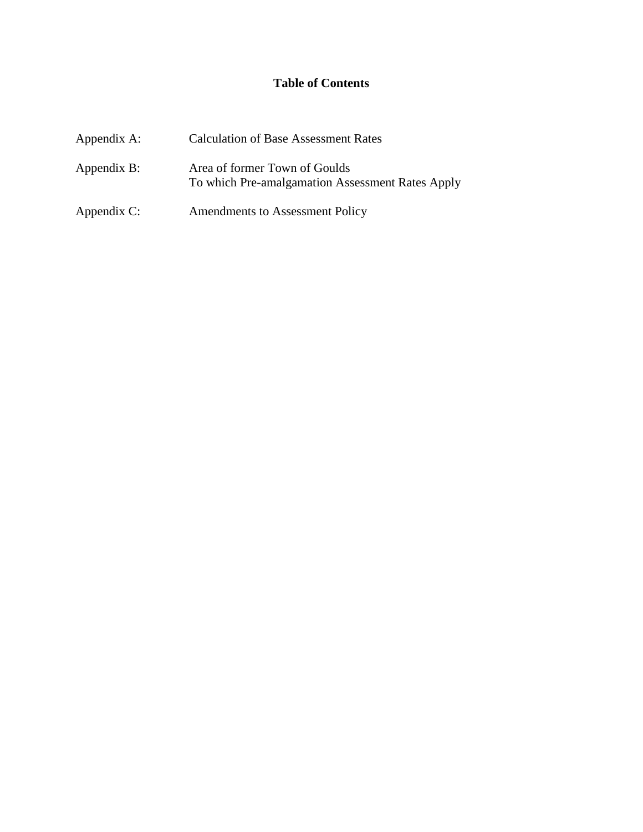# **Table of Contents**

| Appendix A: | <b>Calculation of Base Assessment Rates</b>                                       |
|-------------|-----------------------------------------------------------------------------------|
| Appendix B: | Area of former Town of Goulds<br>To which Pre-amalgamation Assessment Rates Apply |
| Appendix C: | Amendments to Assessment Policy                                                   |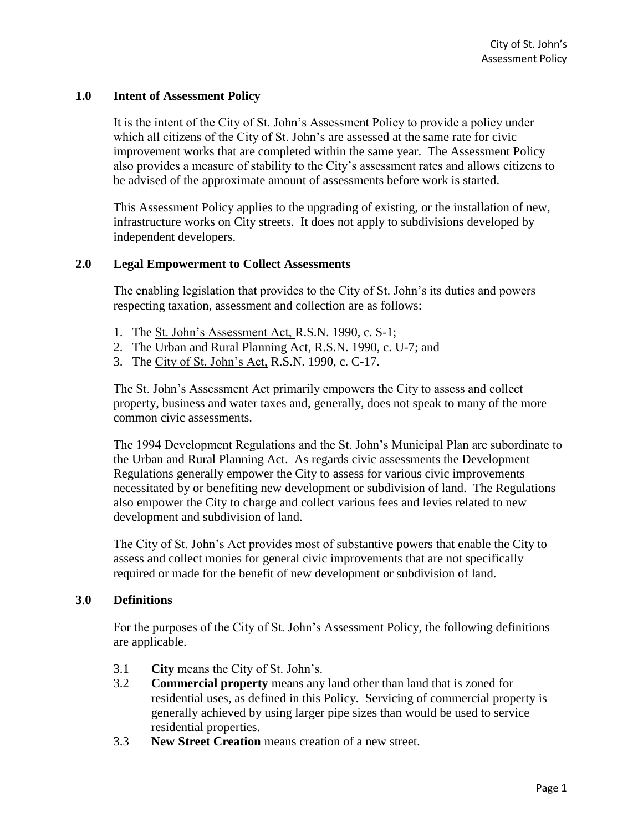#### **1.0 Intent of Assessment Policy**

It is the intent of the City of St. John's Assessment Policy to provide a policy under which all citizens of the City of St. John's are assessed at the same rate for civic improvement works that are completed within the same year. The Assessment Policy also provides a measure of stability to the City's assessment rates and allows citizens to be advised of the approximate amount of assessments before work is started.

This Assessment Policy applies to the upgrading of existing, or the installation of new, infrastructure works on City streets. It does not apply to subdivisions developed by independent developers.

#### **2.0 Legal Empowerment to Collect Assessments**

The enabling legislation that provides to the City of St. John's its duties and powers respecting taxation, assessment and collection are as follows:

- 1. The St. John's Assessment Act, R.S.N. 1990, c. S-1;
- 2. The Urban and Rural Planning Act, R.S.N. 1990, c. U-7; and
- 3. The City of St. John's Act, R.S.N. 1990, c. C-17.

The St. John's Assessment Act primarily empowers the City to assess and collect property, business and water taxes and, generally, does not speak to many of the more common civic assessments.

The 1994 Development Regulations and the St. John's Municipal Plan are subordinate to the Urban and Rural Planning Act. As regards civic assessments the Development Regulations generally empower the City to assess for various civic improvements necessitated by or benefiting new development or subdivision of land. The Regulations also empower the City to charge and collect various fees and levies related to new development and subdivision of land.

The City of St. John's Act provides most of substantive powers that enable the City to assess and collect monies for general civic improvements that are not specifically required or made for the benefit of new development or subdivision of land.

#### **3**.**0 Definitions**

For the purposes of the City of St. John's Assessment Policy, the following definitions are applicable.

- 3.1 **City** means the City of St. John's.
- 3.2 **Commercial property** means any land other than land that is zoned for residential uses, as defined in this Policy. Servicing of commercial property is generally achieved by using larger pipe sizes than would be used to service residential properties.
- 3.3 **New Street Creation** means creation of a new street.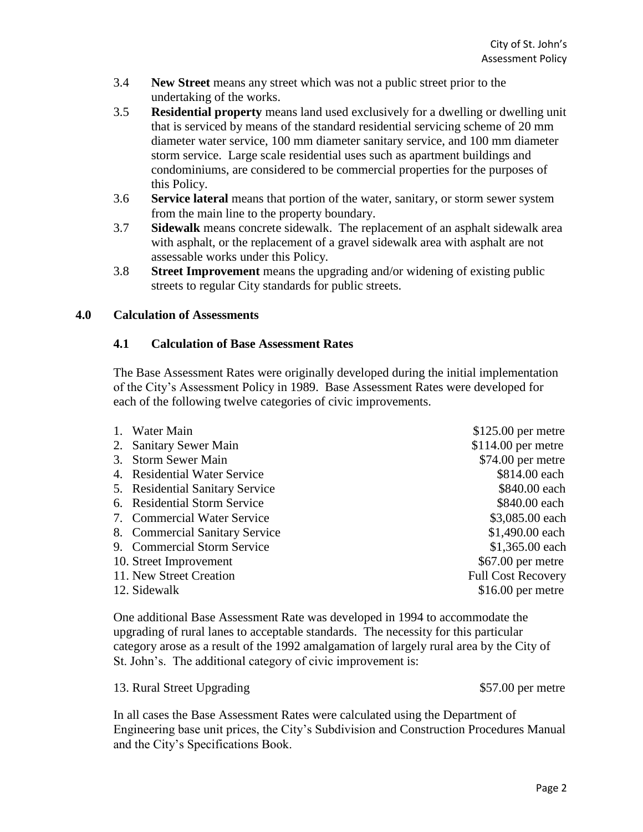- 3.4 **New Street** means any street which was not a public street prior to the undertaking of the works.
- 3.5 **Residential property** means land used exclusively for a dwelling or dwelling unit that is serviced by means of the standard residential servicing scheme of 20 mm diameter water service, 100 mm diameter sanitary service, and 100 mm diameter storm service. Large scale residential uses such as apartment buildings and condominiums, are considered to be commercial properties for the purposes of this Policy.
- 3.6 **Service lateral** means that portion of the water, sanitary, or storm sewer system from the main line to the property boundary.
- 3.7 **Sidewalk** means concrete sidewalk. The replacement of an asphalt sidewalk area with asphalt, or the replacement of a gravel sidewalk area with asphalt are not assessable works under this Policy.
- 3.8 **Street Improvement** means the upgrading and/or widening of existing public streets to regular City standards for public streets.

# **4.0 Calculation of Assessments**

### **4.1 Calculation of Base Assessment Rates**

The Base Assessment Rates were originally developed during the initial implementation of the City's Assessment Policy in 1989. Base Assessment Rates were developed for each of the following twelve categories of civic improvements.

| 1. Water Main                   | $$125.00$ per metre       |
|---------------------------------|---------------------------|
| 2. Sanitary Sewer Main          | $$114.00$ per metre       |
| 3. Storm Sewer Main             | $$74.00$ per metre        |
| 4. Residential Water Service    | \$814.00 each             |
| 5. Residential Sanitary Service | \$840.00 each             |
| 6. Residential Storm Service    | \$840.00 each             |
| 7. Commercial Water Service     | \$3,085.00 each           |
| 8. Commercial Sanitary Service  | $$1,490.00$ each          |
| 9. Commercial Storm Service     | \$1,365.00 each           |
| 10. Street Improvement          | $$67.00$ per metre        |
| 11. New Street Creation         | <b>Full Cost Recovery</b> |
| 12. Sidewalk                    | $$16.00$ per metre        |

One additional Base Assessment Rate was developed in 1994 to accommodate the upgrading of rural lanes to acceptable standards. The necessity for this particular category arose as a result of the 1992 amalgamation of largely rural area by the City of St. John's. The additional category of civic improvement is:

13. Rural Street Upgrading  $$57.00$  per metre

In all cases the Base Assessment Rates were calculated using the Department of Engineering base unit prices, the City's Subdivision and Construction Procedures Manual and the City's Specifications Book.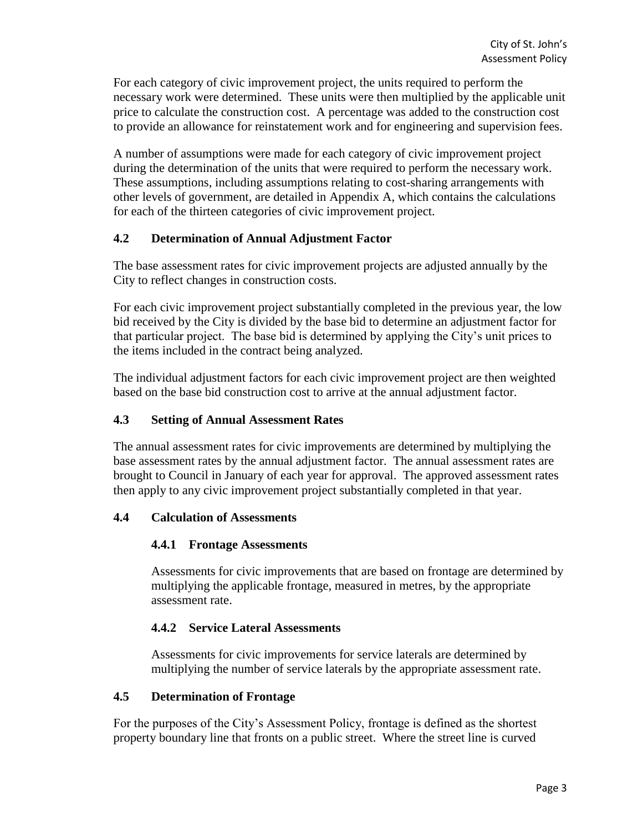For each category of civic improvement project, the units required to perform the necessary work were determined. These units were then multiplied by the applicable unit price to calculate the construction cost. A percentage was added to the construction cost to provide an allowance for reinstatement work and for engineering and supervision fees.

A number of assumptions were made for each category of civic improvement project during the determination of the units that were required to perform the necessary work. These assumptions, including assumptions relating to cost-sharing arrangements with other levels of government, are detailed in Appendix A, which contains the calculations for each of the thirteen categories of civic improvement project.

### **4.2 Determination of Annual Adjustment Factor**

The base assessment rates for civic improvement projects are adjusted annually by the City to reflect changes in construction costs.

For each civic improvement project substantially completed in the previous year, the low bid received by the City is divided by the base bid to determine an adjustment factor for that particular project. The base bid is determined by applying the City's unit prices to the items included in the contract being analyzed.

The individual adjustment factors for each civic improvement project are then weighted based on the base bid construction cost to arrive at the annual adjustment factor.

### **4.3 Setting of Annual Assessment Rates**

The annual assessment rates for civic improvements are determined by multiplying the base assessment rates by the annual adjustment factor. The annual assessment rates are brought to Council in January of each year for approval. The approved assessment rates then apply to any civic improvement project substantially completed in that year.

# **4.4 Calculation of Assessments**

#### **4.4.1 Frontage Assessments**

Assessments for civic improvements that are based on frontage are determined by multiplying the applicable frontage, measured in metres, by the appropriate assessment rate.

# **4.4.2 Service Lateral Assessments**

Assessments for civic improvements for service laterals are determined by multiplying the number of service laterals by the appropriate assessment rate.

#### **4.5 Determination of Frontage**

For the purposes of the City's Assessment Policy, frontage is defined as the shortest property boundary line that fronts on a public street. Where the street line is curved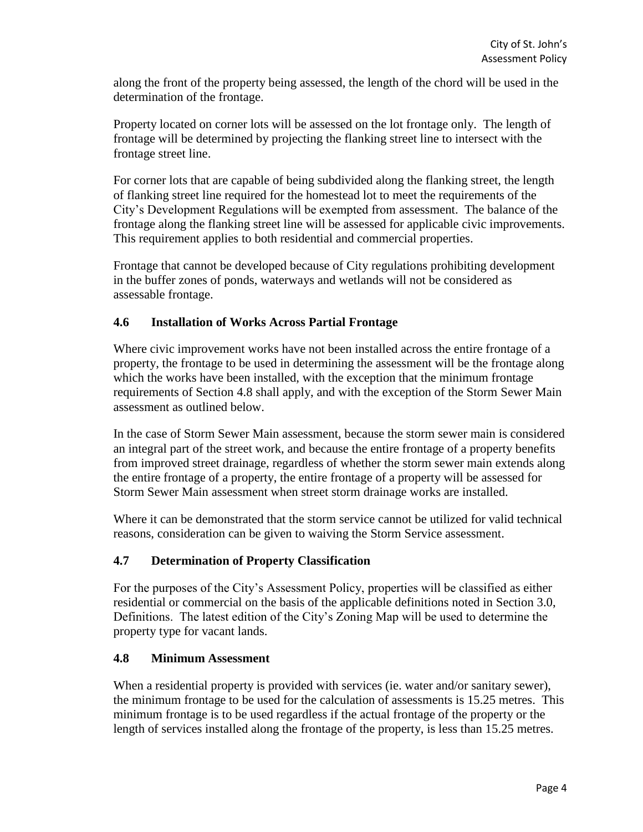along the front of the property being assessed, the length of the chord will be used in the determination of the frontage.

Property located on corner lots will be assessed on the lot frontage only. The length of frontage will be determined by projecting the flanking street line to intersect with the frontage street line.

For corner lots that are capable of being subdivided along the flanking street, the length of flanking street line required for the homestead lot to meet the requirements of the City's Development Regulations will be exempted from assessment. The balance of the frontage along the flanking street line will be assessed for applicable civic improvements. This requirement applies to both residential and commercial properties.

Frontage that cannot be developed because of City regulations prohibiting development in the buffer zones of ponds, waterways and wetlands will not be considered as assessable frontage.

# **4.6 Installation of Works Across Partial Frontage**

Where civic improvement works have not been installed across the entire frontage of a property, the frontage to be used in determining the assessment will be the frontage along which the works have been installed, with the exception that the minimum frontage requirements of Section 4.8 shall apply, and with the exception of the Storm Sewer Main assessment as outlined below.

In the case of Storm Sewer Main assessment, because the storm sewer main is considered an integral part of the street work, and because the entire frontage of a property benefits from improved street drainage, regardless of whether the storm sewer main extends along the entire frontage of a property, the entire frontage of a property will be assessed for Storm Sewer Main assessment when street storm drainage works are installed.

Where it can be demonstrated that the storm service cannot be utilized for valid technical reasons, consideration can be given to waiving the Storm Service assessment.

# **4.7 Determination of Property Classification**

For the purposes of the City's Assessment Policy, properties will be classified as either residential or commercial on the basis of the applicable definitions noted in Section 3.0, Definitions. The latest edition of the City's Zoning Map will be used to determine the property type for vacant lands.

# **4.8 Minimum Assessment**

When a residential property is provided with services (ie. water and/or sanitary sewer), the minimum frontage to be used for the calculation of assessments is 15.25 metres. This minimum frontage is to be used regardless if the actual frontage of the property or the length of services installed along the frontage of the property, is less than 15.25 metres.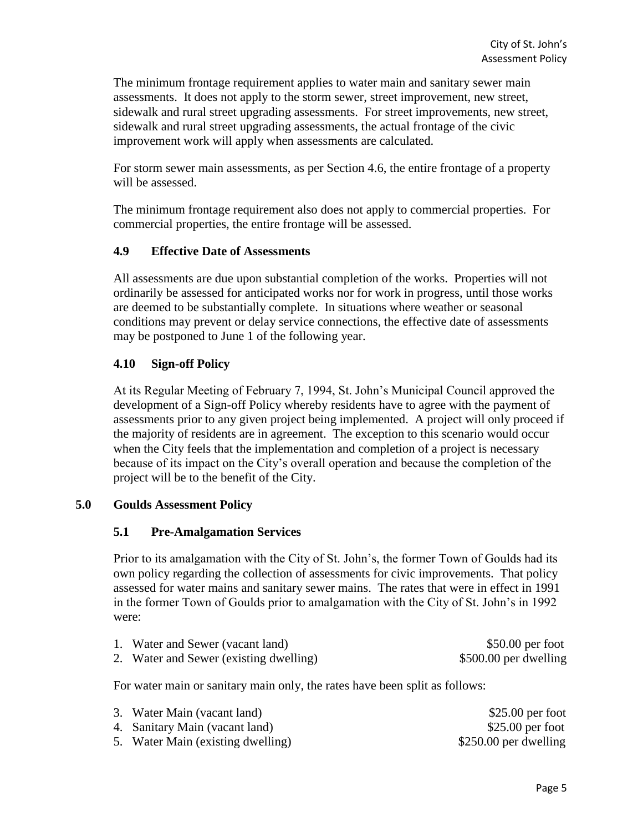The minimum frontage requirement applies to water main and sanitary sewer main assessments. It does not apply to the storm sewer, street improvement, new street, sidewalk and rural street upgrading assessments. For street improvements, new street, sidewalk and rural street upgrading assessments, the actual frontage of the civic improvement work will apply when assessments are calculated.

For storm sewer main assessments, as per Section 4.6, the entire frontage of a property will be assessed.

The minimum frontage requirement also does not apply to commercial properties. For commercial properties, the entire frontage will be assessed.

### **4.9 Effective Date of Assessments**

All assessments are due upon substantial completion of the works. Properties will not ordinarily be assessed for anticipated works nor for work in progress, until those works are deemed to be substantially complete. In situations where weather or seasonal conditions may prevent or delay service connections, the effective date of assessments may be postponed to June 1 of the following year.

# **4.10 Sign-off Policy**

At its Regular Meeting of February 7, 1994, St. John's Municipal Council approved the development of a Sign-off Policy whereby residents have to agree with the payment of assessments prior to any given project being implemented. A project will only proceed if the majority of residents are in agreement. The exception to this scenario would occur when the City feels that the implementation and completion of a project is necessary because of its impact on the City's overall operation and because the completion of the project will be to the benefit of the City.

#### **5.0 Goulds Assessment Policy**

#### **5.1 Pre-Amalgamation Services**

Prior to its amalgamation with the City of St. John's, the former Town of Goulds had its own policy regarding the collection of assessments for civic improvements. That policy assessed for water mains and sanitary sewer mains. The rates that were in effect in 1991 in the former Town of Goulds prior to amalgamation with the City of St. John's in 1992 were:

| 1. Water and Sewer (vacant land)       | $$50.00$ per foot     |
|----------------------------------------|-----------------------|
| 2. Water and Sewer (existing dwelling) | \$500.00 per dwelling |

For water main or sanitary main only, the rates have been split as follows:

| 3. Water Main (vacant land)       | $$25.00$ per foot      |
|-----------------------------------|------------------------|
| 4. Sanitary Main (vacant land)    | $$25.00$ per foot      |
| 5. Water Main (existing dwelling) | $$250.00$ per dwelling |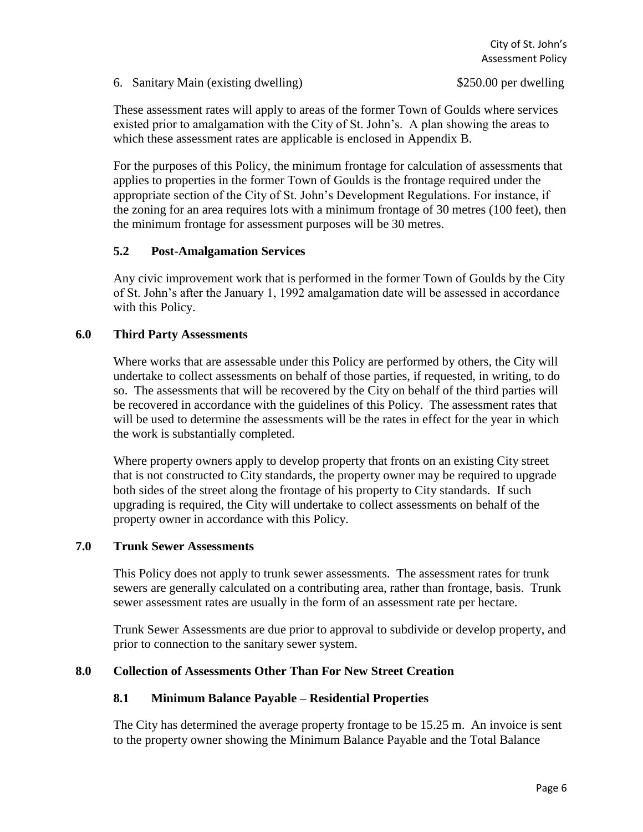6. Sanitary Main (existing dwelling) \$250.00 per dwelling

These assessment rates will apply to areas of the former Town of Goulds where services existed prior to amalgamation with the City of St. John's. A plan showing the areas to which these assessment rates are applicable is enclosed in Appendix B.

For the purposes of this Policy, the minimum frontage for calculation of assessments that applies to properties in the former Town of Goulds is the frontage required under the appropriate section of the City of St. John's Development Regulations. For instance, if the zoning for an area requires lots with a minimum frontage of 30 metres (100 feet), then the minimum frontage for assessment purposes will be 30 metres.

# **5.2 Post-Amalgamation Services**

Any civic improvement work that is performed in the former Town of Goulds by the City of St. John's after the January 1, 1992 amalgamation date will be assessed in accordance with this Policy.

# **6.0 Third Party Assessments**

Where works that are assessable under this Policy are performed by others, the City will undertake to collect assessments on behalf of those parties, if requested, in writing, to do so. The assessments that will be recovered by the City on behalf of the third parties will be recovered in accordance with the guidelines of this Policy. The assessment rates that will be used to determine the assessments will be the rates in effect for the year in which the work is substantially completed.

Where property owners apply to develop property that fronts on an existing City street that is not constructed to City standards, the property owner may be required to upgrade both sides of the street along the frontage of his property to City standards. If such upgrading is required, the City will undertake to collect assessments on behalf of the property owner in accordance with this Policy.

# **7.0 Trunk Sewer Assessments**

This Policy does not apply to trunk sewer assessments. The assessment rates for trunk sewers are generally calculated on a contributing area, rather than frontage, basis. Trunk sewer assessment rates are usually in the form of an assessment rate per hectare.

Trunk Sewer Assessments are due prior to approval to subdivide or develop property, and prior to connection to the sanitary sewer system.

# **8.0 Collection of Assessments Other Than For New Street Creation**

# **8.1 Minimum Balance Payable – Residential Properties**

The City has determined the average property frontage to be 15.25 m. An invoice is sent to the property owner showing the Minimum Balance Payable and the Total Balance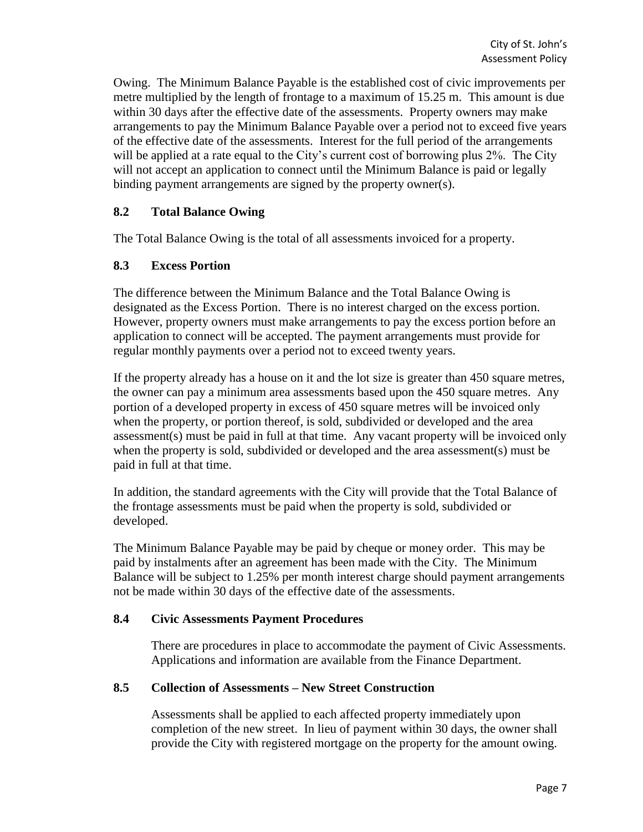Owing. The Minimum Balance Payable is the established cost of civic improvements per metre multiplied by the length of frontage to a maximum of 15.25 m. This amount is due within 30 days after the effective date of the assessments. Property owners may make arrangements to pay the Minimum Balance Payable over a period not to exceed five years of the effective date of the assessments. Interest for the full period of the arrangements will be applied at a rate equal to the City's current cost of borrowing plus 2%. The City will not accept an application to connect until the Minimum Balance is paid or legally binding payment arrangements are signed by the property owner(s).

#### **8.2 Total Balance Owing**

The Total Balance Owing is the total of all assessments invoiced for a property.

#### **8.3 Excess Portion**

The difference between the Minimum Balance and the Total Balance Owing is designated as the Excess Portion. There is no interest charged on the excess portion. However, property owners must make arrangements to pay the excess portion before an application to connect will be accepted. The payment arrangements must provide for regular monthly payments over a period not to exceed twenty years.

If the property already has a house on it and the lot size is greater than 450 square metres, the owner can pay a minimum area assessments based upon the 450 square metres. Any portion of a developed property in excess of 450 square metres will be invoiced only when the property, or portion thereof, is sold, subdivided or developed and the area assessment(s) must be paid in full at that time. Any vacant property will be invoiced only when the property is sold, subdivided or developed and the area assessment(s) must be paid in full at that time.

In addition, the standard agreements with the City will provide that the Total Balance of the frontage assessments must be paid when the property is sold, subdivided or developed.

The Minimum Balance Payable may be paid by cheque or money order. This may be paid by instalments after an agreement has been made with the City. The Minimum Balance will be subject to 1.25% per month interest charge should payment arrangements not be made within 30 days of the effective date of the assessments.

#### **8.4 Civic Assessments Payment Procedures**

There are procedures in place to accommodate the payment of Civic Assessments. Applications and information are available from the Finance Department.

#### **8.5 Collection of Assessments – New Street Construction**

Assessments shall be applied to each affected property immediately upon completion of the new street. In lieu of payment within 30 days, the owner shall provide the City with registered mortgage on the property for the amount owing.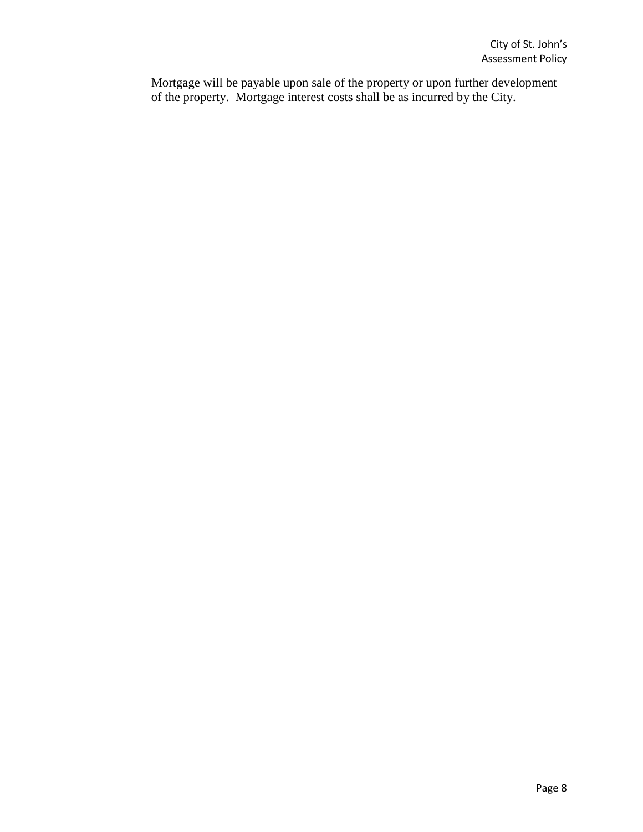Mortgage will be payable upon sale of the property or upon further development of the property. Mortgage interest costs shall be as incurred by the City.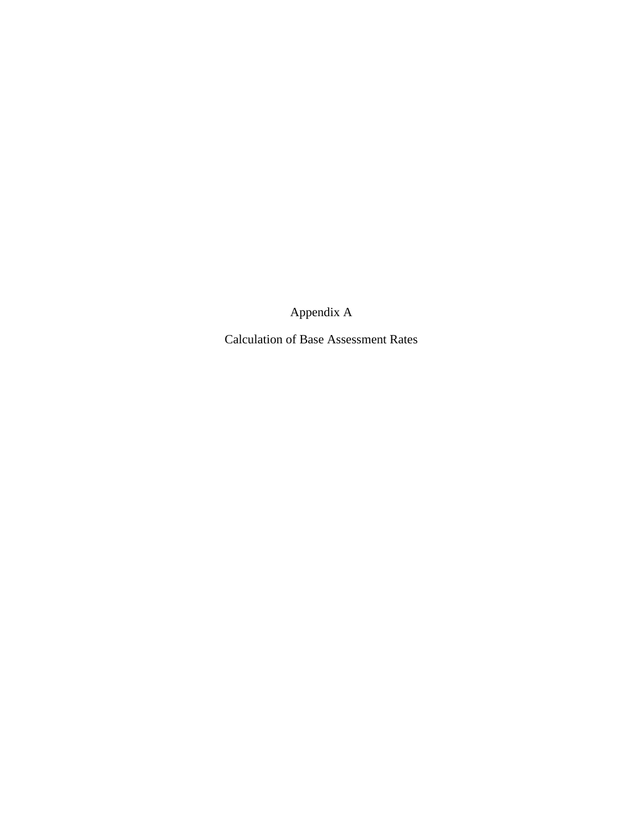Appendix A

Calculation of Base Assessment Rates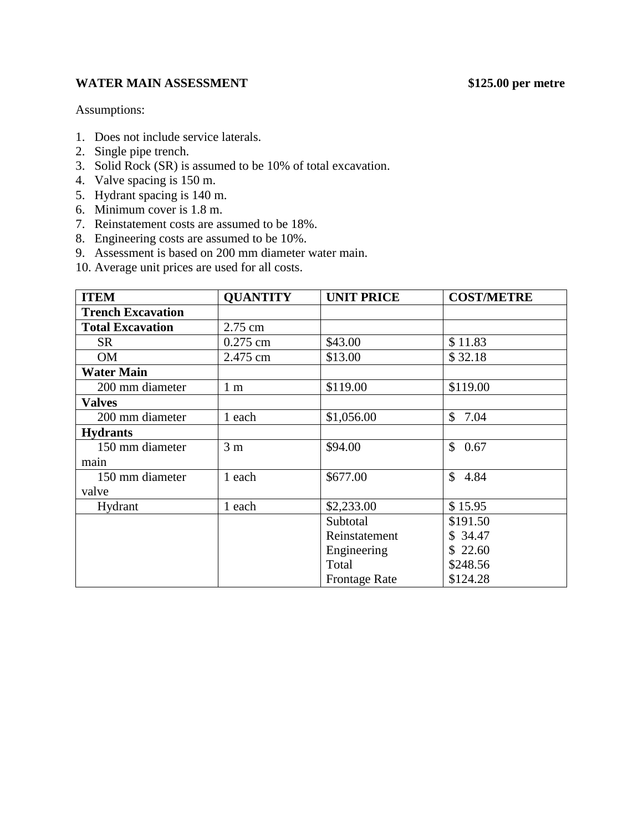# **WATER MAIN ASSESSMENT \$125.00 per metre**

- 1. Does not include service laterals.
- 2. Single pipe trench.
- 3. Solid Rock (SR) is assumed to be 10% of total excavation.
- 4. Valve spacing is 150 m.
- 5. Hydrant spacing is 140 m.
- 6. Minimum cover is 1.8 m.
- 7. Reinstatement costs are assumed to be 18%.
- 8. Engineering costs are assumed to be 10%.
- 9. Assessment is based on 200 mm diameter water main.
- 10. Average unit prices are used for all costs.

| <b>ITEM</b>              | <b>QUANTITY</b> | <b>UNIT PRICE</b>    | <b>COST/METRE</b>    |
|--------------------------|-----------------|----------------------|----------------------|
| <b>Trench Excavation</b> |                 |                      |                      |
| <b>Total Excavation</b>  | 2.75 cm         |                      |                      |
| <b>SR</b>                | $0.275$ cm      | \$43.00              | \$11.83              |
| OM                       | 2.475 cm        | \$13.00              | \$32.18              |
| <b>Water Main</b>        |                 |                      |                      |
| 200 mm diameter          | 1 <sub>m</sub>  | \$119.00             | \$119.00             |
| <b>Valves</b>            |                 |                      |                      |
| 200 mm diameter          | 1 each          | \$1,056.00           | \$7.04               |
| <b>Hydrants</b>          |                 |                      |                      |
| 150 mm diameter          | 3 <sub>m</sub>  | \$94.00              | $\mathbb{S}$<br>0.67 |
| main                     |                 |                      |                      |
| 150 mm diameter          | 1 each          | \$677.00             | \$4.84               |
| valve                    |                 |                      |                      |
| Hydrant                  | 1 each          | \$2,233.00           | \$15.95              |
|                          |                 | Subtotal             | \$191.50             |
|                          |                 | Reinstatement        | \$34.47              |
|                          |                 | Engineering          | \$22.60              |
|                          |                 | Total                | \$248.56             |
|                          |                 | <b>Frontage Rate</b> | \$124.28             |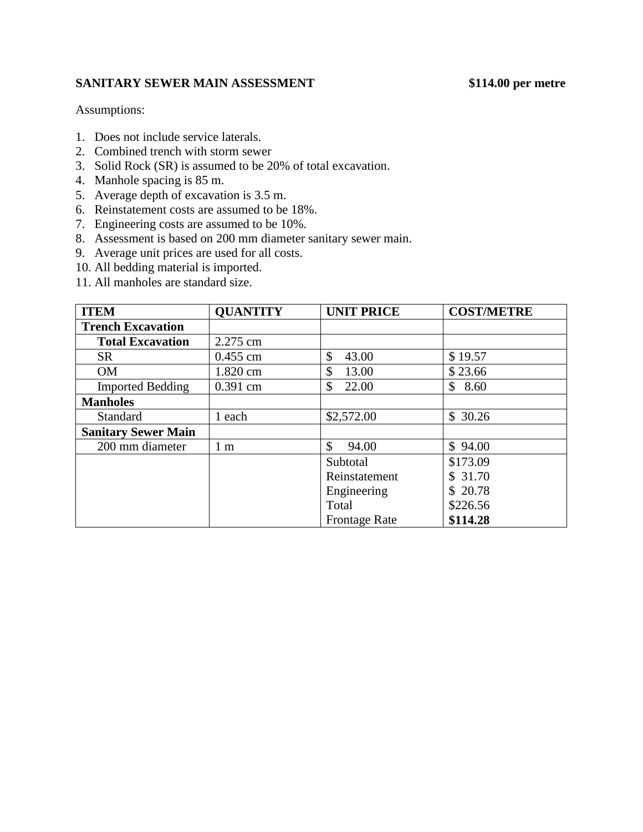# **SANITARY SEWER MAIN ASSESSMENT \$114.00 per metre**

- 1. Does not include service laterals.
- 2. Combined trench with storm sewer
- 3. Solid Rock (SR) is assumed to be 20% of total excavation.
- 4. Manhole spacing is 85 m.
- 5. Average depth of excavation is 3.5 m.
- 6. Reinstatement costs are assumed to be 18%.
- 7. Engineering costs are assumed to be 10%.
- 8. Assessment is based on 200 mm diameter sanitary sewer main.
- 9. Average unit prices are used for all costs.
- 10. All bedding material is imported.
- 11. All manholes are standard size.

| <b>ITEM</b>                | <b>QUANTITY</b> | <b>UNIT PRICE</b>      | <b>COST/METRE</b> |
|----------------------------|-----------------|------------------------|-------------------|
| <b>Trench Excavation</b>   |                 |                        |                   |
| <b>Total Excavation</b>    | 2.275 cm        |                        |                   |
| <b>SR</b>                  | $0.455$ cm      | \$<br>43.00            | \$19.57           |
| <b>OM</b>                  | 1.820 cm        | \$<br>13.00            | \$23.66           |
| <b>Imported Bedding</b>    | $0.391$ cm      | $\mathcal{S}$<br>22.00 | \$<br>8.60        |
| <b>Manholes</b>            |                 |                        |                   |
| Standard                   | 1 each          | \$2,572.00             | \$30.26           |
| <b>Sanitary Sewer Main</b> |                 |                        |                   |
| 200 mm diameter            | 1 <sub>m</sub>  | $\mathcal{S}$<br>94.00 | \$94.00           |
|                            |                 | Subtotal               | \$173.09          |
|                            |                 | Reinstatement          | \$31.70           |
|                            |                 | Engineering            | \$20.78           |
|                            |                 | Total                  | \$226.56          |
|                            |                 | <b>Frontage Rate</b>   | \$114.28          |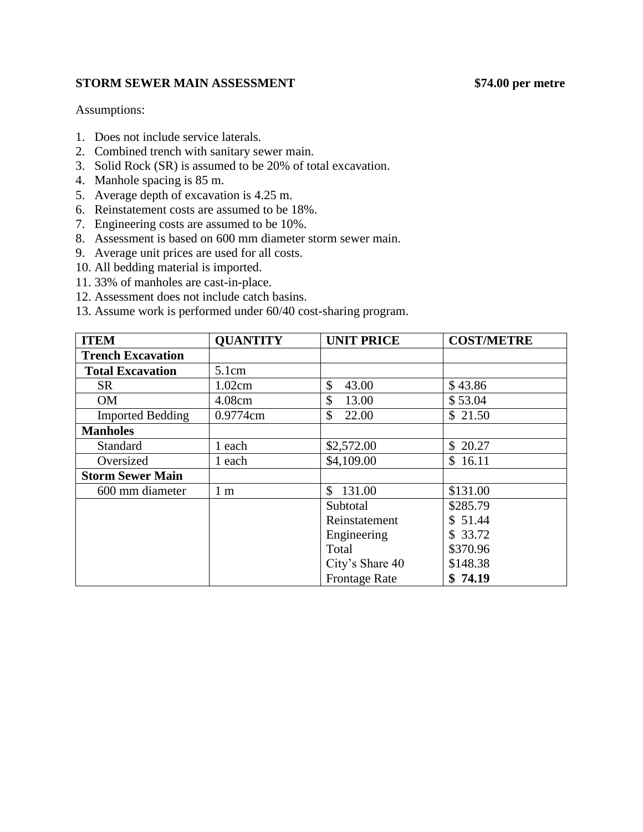### **STORM SEWER MAIN ASSESSMENT \$74.00 per metre**

- 1. Does not include service laterals.
- 2. Combined trench with sanitary sewer main.
- 3. Solid Rock (SR) is assumed to be 20% of total excavation.
- 4. Manhole spacing is 85 m.
- 5. Average depth of excavation is 4.25 m.
- 6. Reinstatement costs are assumed to be 18%.
- 7. Engineering costs are assumed to be 10%.
- 8. Assessment is based on 600 mm diameter storm sewer main.
- 9. Average unit prices are used for all costs.
- 10. All bedding material is imported.
- 11. 33% of manholes are cast-in-place.
- 12. Assessment does not include catch basins.
- 13. Assume work is performed under 60/40 cost-sharing program.

| <b>ITEM</b>              | <b>QUANTITY</b> | <b>UNIT PRICE</b>    | <b>COST/METRE</b> |
|--------------------------|-----------------|----------------------|-------------------|
| <b>Trench Excavation</b> |                 |                      |                   |
| <b>Total Excavation</b>  | 5.1cm           |                      |                   |
| SR.                      | 1.02cm          | \$<br>43.00          | \$43.86           |
| <b>OM</b>                | 4.08cm          | \$<br>13.00          | \$53.04           |
| <b>Imported Bedding</b>  | 0.9774cm        | \$<br>22.00          | \$21.50           |
| <b>Manholes</b>          |                 |                      |                   |
| <b>Standard</b>          | 1 each          | \$2,572.00           | \$ 20.27          |
| Oversized                | 1 each          | \$4,109.00           | \$16.11           |
| <b>Storm Sewer Main</b>  |                 |                      |                   |
| 600 mm diameter          | 1 <sub>m</sub>  | 131.00<br>\$         | \$131.00          |
|                          |                 | Subtotal             | \$285.79          |
|                          |                 | Reinstatement        | \$51.44           |
|                          |                 | Engineering          | \$33.72           |
|                          |                 | Total                | \$370.96          |
|                          |                 | City's Share 40      | \$148.38          |
|                          |                 | <b>Frontage Rate</b> | \$74.19           |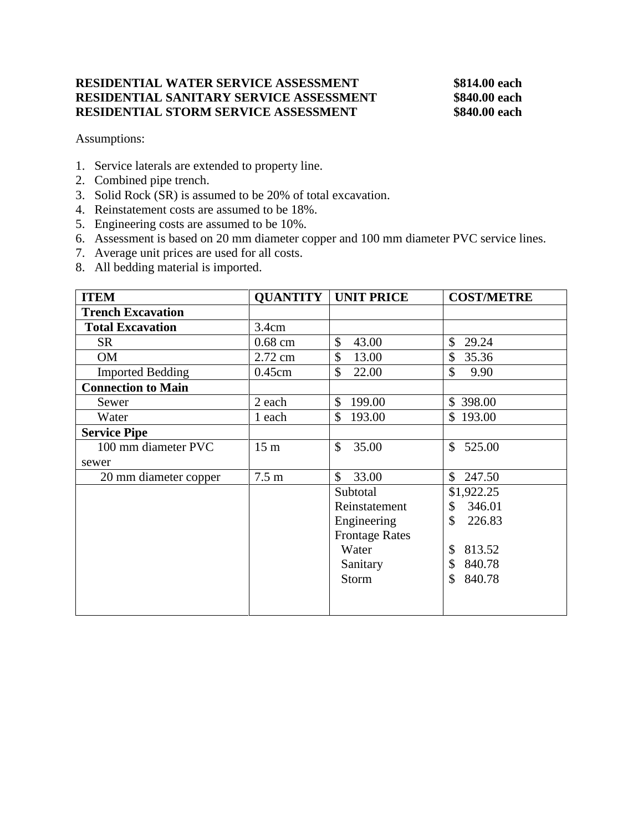### **RESIDENTIAL WATER SERVICE ASSESSMENT \$814.00 each RESIDENTIAL SANITARY SERVICE ASSESSMENT \$840.00 each RESIDENTIAL STORM SERVICE ASSESSMENT \$840.00 each**

- 1. Service laterals are extended to property line.
- 2. Combined pipe trench.
- 3. Solid Rock (SR) is assumed to be 20% of total excavation.
- 4. Reinstatement costs are assumed to be 18%.
- 5. Engineering costs are assumed to be 10%.
- 6. Assessment is based on 20 mm diameter copper and 100 mm diameter PVC service lines.
- 7. Average unit prices are used for all costs.
- 8. All bedding material is imported.

| <b>ITEM</b>               |                  | <b>QUANTITY   UNIT PRICE</b> | <b>COST/METRE</b> |
|---------------------------|------------------|------------------------------|-------------------|
| <b>Trench Excavation</b>  |                  |                              |                   |
| <b>Total Excavation</b>   | 3.4cm            |                              |                   |
| <b>SR</b>                 | $0.68$ cm        | $\mathbb{S}$<br>43.00        | \$<br>29.24       |
| <b>OM</b>                 | 2.72 cm          | \$<br>13.00                  | 35.36<br>\$       |
| <b>Imported Bedding</b>   | 0.45cm           | $\mathcal{S}$<br>22.00       | \$<br>9.90        |
| <b>Connection to Main</b> |                  |                              |                   |
| Sewer                     | 2 each           | $\mathbb{S}$<br>199.00       | \$398.00          |
| Water                     | 1 each           | 193.00<br>\$                 | \$193.00          |
| <b>Service Pipe</b>       |                  |                              |                   |
| 100 mm diameter PVC       | 15 <sub>m</sub>  | $\mathbb{S}$<br>35.00        | 525.00<br>\$      |
| sewer                     |                  |                              |                   |
| 20 mm diameter copper     | 7.5 <sub>m</sub> | $\mathbb{S}$<br>33.00        | \$<br>247.50      |
|                           |                  | Subtotal                     | \$1,922.25        |
|                           |                  | Reinstatement                | \$<br>346.01      |
|                           |                  | Engineering                  | \$<br>226.83      |
|                           |                  | <b>Frontage Rates</b>        |                   |
|                           |                  | Water                        | 813.52<br>\$      |
|                           |                  | Sanitary                     | 840.78<br>\$      |
|                           |                  | Storm                        | \$<br>840.78      |
|                           |                  |                              |                   |
|                           |                  |                              |                   |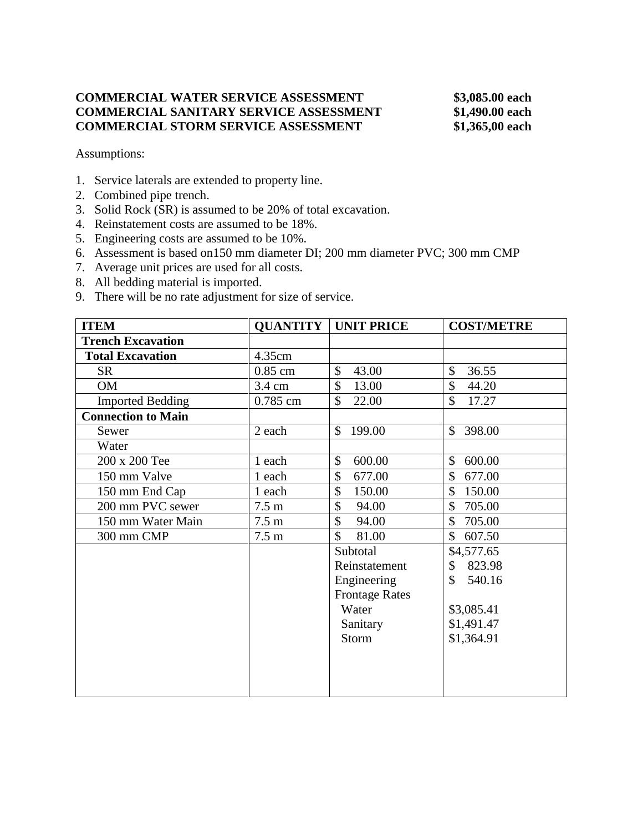# **COMMERCIAL WATER SERVICE ASSESSMENT \$3,085.00 each COMMERCIAL SANITARY SERVICE ASSESSMENT \$1,490.00 each COMMERCIAL STORM SERVICE ASSESSMENT \$1,365,00 each**

- 1. Service laterals are extended to property line.
- 2. Combined pipe trench.
- 3. Solid Rock (SR) is assumed to be 20% of total excavation.
- 4. Reinstatement costs are assumed to be 18%.
- 5. Engineering costs are assumed to be 10%.
- 6. Assessment is based on150 mm diameter DI; 200 mm diameter PVC; 300 mm CMP
- 7. Average unit prices are used for all costs.
- 8. All bedding material is imported.
- 9. There will be no rate adjustment for size of service.

| <b>ITEM</b>               | <b>QUANTITY</b>  | <b>UNIT PRICE</b>           | <b>COST/METRE</b>       |
|---------------------------|------------------|-----------------------------|-------------------------|
| <b>Trench Excavation</b>  |                  |                             |                         |
| <b>Total Excavation</b>   | 4.35cm           |                             |                         |
| <b>SR</b>                 | $0.85$ cm        | \$<br>43.00                 | \$<br>36.55             |
| <b>OM</b>                 | 3.4 cm           | \$<br>13.00                 | \$<br>44.20             |
| <b>Imported Bedding</b>   | 0.785 cm         | $\mathbb{S}$<br>22.00       | \$<br>17.27             |
| <b>Connection to Main</b> |                  |                             |                         |
| Sewer                     | 2 each           | 199.00<br>$\mathbb{S}$      | 398.00<br>\$            |
| Water                     |                  |                             |                         |
| 200 x 200 Tee             | 1 each           | \$<br>600.00                | \$<br>600.00            |
| 150 mm Valve              | 1 each           | \$<br>677.00                | \$<br>677.00            |
| 150 mm End Cap            | 1 each           | \$<br>150.00                | \$<br>150.00            |
| 200 mm PVC sewer          | 7.5 <sub>m</sub> | \$<br>94.00                 | \$<br>705.00            |
| 150 mm Water Main         | $7.5 \text{ m}$  | \$<br>94.00                 | \$<br>705.00            |
| 300 mm CMP                | 7.5 <sub>m</sub> | $\mathbf{\hat{S}}$<br>81.00 | $\mathcal{S}$<br>607.50 |
|                           |                  | Subtotal                    | \$4,577.65              |
|                           |                  | Reinstatement               | \$<br>823.98            |
|                           |                  | Engineering                 | \$<br>540.16            |
|                           |                  | <b>Frontage Rates</b>       |                         |
|                           |                  | Water                       | \$3,085.41              |
|                           |                  | Sanitary                    | \$1,491.47              |
|                           |                  | Storm                       | \$1,364.91              |
|                           |                  |                             |                         |
|                           |                  |                             |                         |
|                           |                  |                             |                         |
|                           |                  |                             |                         |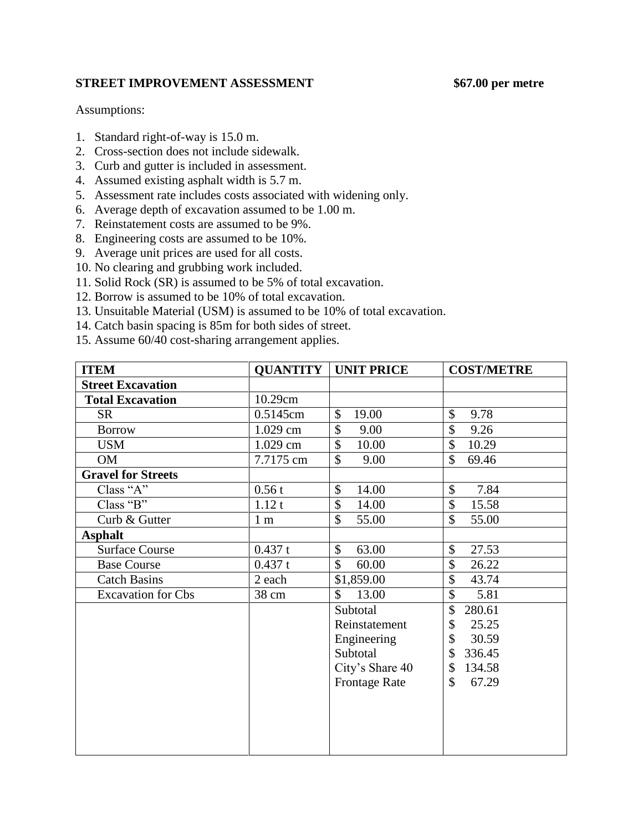### **STREET IMPROVEMENT ASSESSMENT \$67.00 per metre**

- 1. Standard right-of-way is 15.0 m.
- 2. Cross-section does not include sidewalk.
- 3. Curb and gutter is included in assessment.
- 4. Assumed existing asphalt width is 5.7 m.
- 5. Assessment rate includes costs associated with widening only.
- 6. Average depth of excavation assumed to be 1.00 m.
- 7. Reinstatement costs are assumed to be 9%.
- 8. Engineering costs are assumed to be 10%.
- 9. Average unit prices are used for all costs.
- 10. No clearing and grubbing work included.
- 11. Solid Rock (SR) is assumed to be 5% of total excavation.
- 12. Borrow is assumed to be 10% of total excavation.
- 13. Unsuitable Material (USM) is assumed to be 10% of total excavation.
- 14. Catch basin spacing is 85m for both sides of street.
- 15. Assume 60/40 cost-sharing arrangement applies.

| <b>ITEM</b>               |                | <b>QUANTITY   UNIT PRICE</b> | <b>COST/METRE</b> |
|---------------------------|----------------|------------------------------|-------------------|
| <b>Street Excavation</b>  |                |                              |                   |
| <b>Total Excavation</b>   | 10.29cm        |                              |                   |
| <b>SR</b>                 | 0.5145cm       | \$<br>19.00                  | \$<br>9.78        |
| <b>Borrow</b>             | $1.029$ cm     | \$<br>9.00                   | \$<br>9.26        |
| <b>USM</b>                | $1.029$ cm     | \$<br>10.00                  | \$<br>10.29       |
| <b>OM</b>                 | 7.7175 cm      | \$<br>9.00                   | \$<br>69.46       |
| <b>Gravel for Streets</b> |                |                              |                   |
| Class "A"                 | 0.56t          | \$<br>14.00                  | \$<br>7.84        |
| Class "B"                 | 1.12t          | \$<br>14.00                  | \$<br>15.58       |
| Curb & Gutter             | 1 <sub>m</sub> | \$<br>55.00                  | \$<br>55.00       |
| <b>Asphalt</b>            |                |                              |                   |
| <b>Surface Course</b>     | 0.437 t        | $\mathbb{S}$<br>63.00        | \$<br>27.53       |
| <b>Base Course</b>        | 0.437 t        | $\mathbb{S}$<br>60.00        | \$<br>26.22       |
| <b>Catch Basins</b>       | 2 each         | \$1,859.00                   | \$<br>43.74       |
| <b>Excavation</b> for Cbs | 38 cm          | \$<br>13.00                  | \$<br>5.81        |
|                           |                | Subtotal                     | \$<br>280.61      |
|                           |                | Reinstatement                | 25.25<br>\$       |
|                           |                | Engineering                  | \$<br>30.59       |
|                           |                | Subtotal                     | \$<br>336.45      |
|                           |                | City's Share 40              | 134.58<br>\$      |
|                           |                | <b>Frontage Rate</b>         | 67.29<br>\$       |
|                           |                |                              |                   |
|                           |                |                              |                   |
|                           |                |                              |                   |
|                           |                |                              |                   |
|                           |                |                              |                   |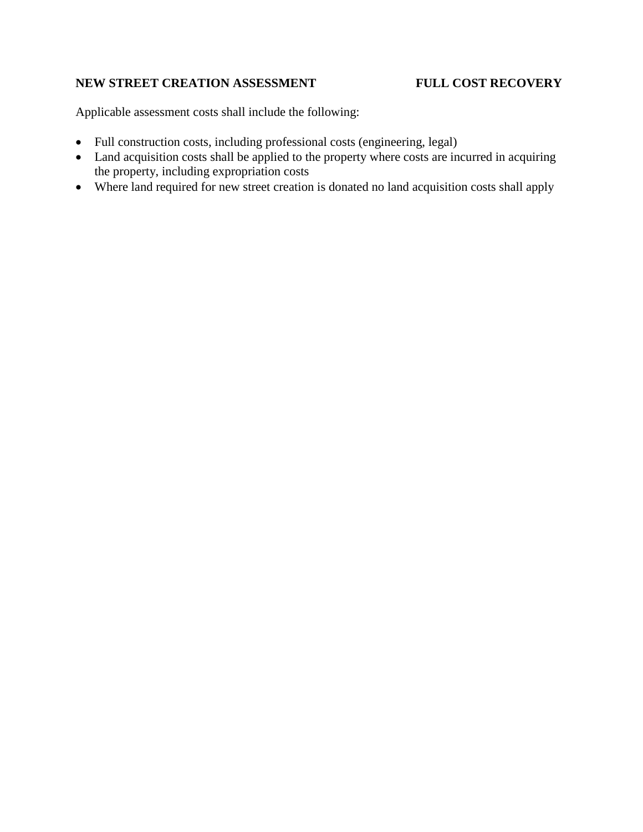# **NEW STREET CREATION ASSESSMENT FULL COST RECOVERY**

Applicable assessment costs shall include the following:

- Full construction costs, including professional costs (engineering, legal)
- Land acquisition costs shall be applied to the property where costs are incurred in acquiring the property, including expropriation costs
- Where land required for new street creation is donated no land acquisition costs shall apply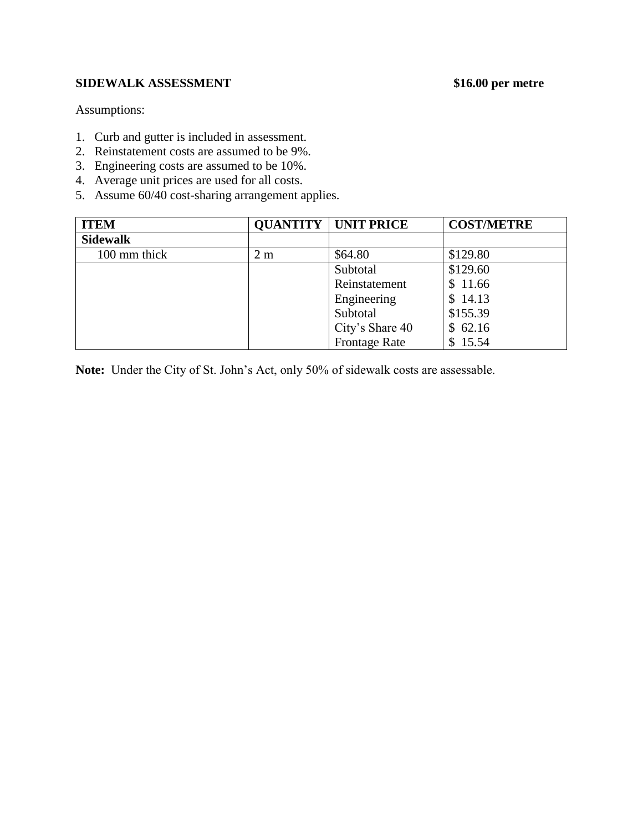# **SIDEWALK ASSESSMENT \$16.00 per metre**

Assumptions:

- 1. Curb and gutter is included in assessment.
- 2. Reinstatement costs are assumed to be 9%.
- 3. Engineering costs are assumed to be 10%.
- 4. Average unit prices are used for all costs.
- 5. Assume 60/40 cost-sharing arrangement applies.

| <b>ITEM</b>     |     | <b>QUANTITY   UNIT PRICE</b> | <b>COST/METRE</b> |
|-----------------|-----|------------------------------|-------------------|
| <b>Sidewalk</b> |     |                              |                   |
| 100 mm thick    | 2 m | \$64.80                      | \$129.80          |
|                 |     | Subtotal                     | \$129.60          |
|                 |     | Reinstatement                | \$11.66           |
|                 |     | Engineering                  | \$14.13           |
|                 |     | Subtotal                     | \$155.39          |
|                 |     | City's Share 40              | \$62.16           |
|                 |     | <b>Frontage Rate</b>         | \$15.54           |

**Note:** Under the City of St. John's Act, only 50% of sidewalk costs are assessable.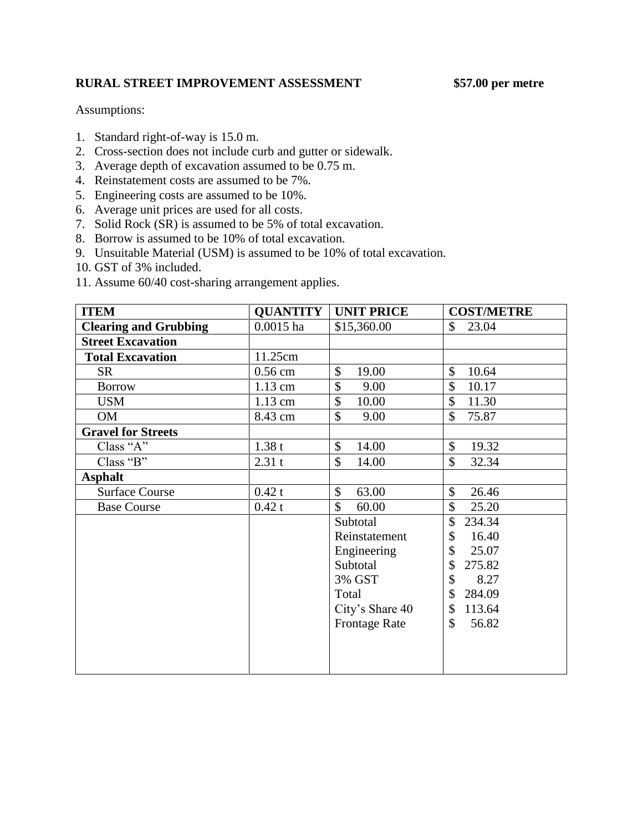### **RURAL STREET IMPROVEMENT ASSESSMENT \$57.00 per metre**

- 1. Standard right-of-way is 15.0 m.
- 2. Cross-section does not include curb and gutter or sidewalk.
- 3. Average depth of excavation assumed to be 0.75 m.
- 4. Reinstatement costs are assumed to be 7%.
- 5. Engineering costs are assumed to be 10%.
- 6. Average unit prices are used for all costs.
- 7. Solid Rock (SR) is assumed to be 5% of total excavation.
- 8. Borrow is assumed to be 10% of total excavation.
- 9. Unsuitable Material (USM) is assumed to be 10% of total excavation.
- 10. GST of 3% included.
- 11. Assume 60/40 cost-sharing arrangement applies.

| <b>ITEM</b>                  | <b>QUANTITY</b> | <b>UNIT PRICE</b>      | <b>COST/METRE</b>      |
|------------------------------|-----------------|------------------------|------------------------|
| <b>Clearing and Grubbing</b> | $0.0015$ ha     | \$15,360.00            | \$<br>23.04            |
| <b>Street Excavation</b>     |                 |                        |                        |
| <b>Total Excavation</b>      | 11.25cm         |                        |                        |
| <b>SR</b>                    | $0.56$ cm       | \$<br>19.00            | \$<br>10.64            |
| <b>Borrow</b>                | 1.13 cm         | \$<br>9.00             | \$<br>10.17            |
| <b>USM</b>                   | 1.13 cm         | $\mathcal{S}$<br>10.00 | \$<br>11.30            |
| <b>OM</b>                    | 8.43 cm         | \$<br>9.00             | \$<br>75.87            |
| <b>Gravel for Streets</b>    |                 |                        |                        |
| Class "A"                    | 1.38t           | $\mathbb{S}$<br>14.00  | \$<br>19.32            |
| Class "B"                    | 2.31t           | \$<br>14.00            | $\mathcal{S}$<br>32.34 |
| <b>Asphalt</b>               |                 |                        |                        |
| <b>Surface Course</b>        | 0.42t           | \$<br>63.00            | \$<br>26.46            |
| <b>Base Course</b>           | 0.42t           | $\mathbb{S}$<br>60.00  | \$<br>25.20            |
|                              |                 | Subtotal               | \$<br>234.34           |
|                              |                 | Reinstatement          | \$<br>16.40            |
|                              |                 | Engineering            | \$<br>25.07            |
|                              |                 | Subtotal               | \$<br>275.82           |
|                              |                 | 3% GST                 | \$<br>8.27             |
|                              |                 | Total                  | 284.09<br>\$           |
|                              |                 | City's Share 40        | 113.64<br>\$           |
|                              |                 | <b>Frontage Rate</b>   | \$<br>56.82            |
|                              |                 |                        |                        |
|                              |                 |                        |                        |
|                              |                 |                        |                        |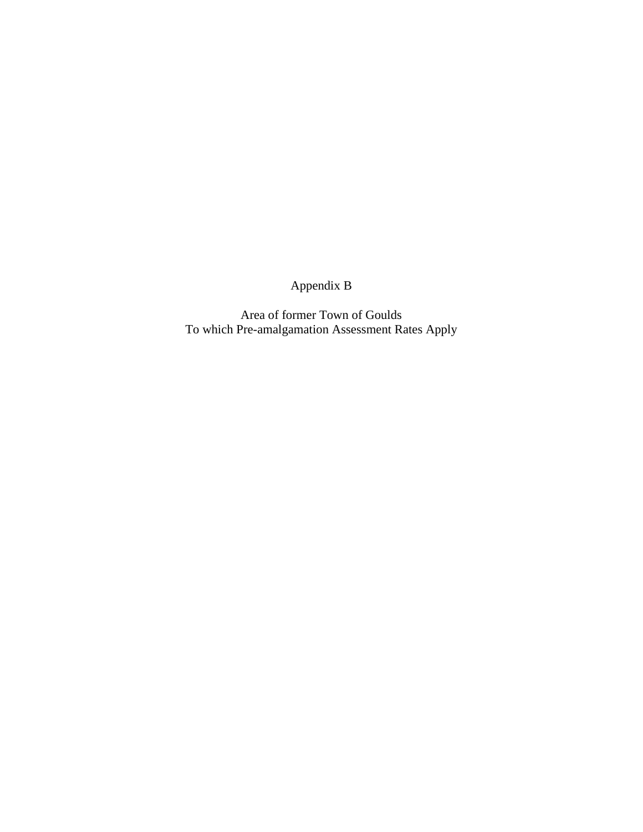Appendix B

Area of former Town of Goulds To which Pre-amalgamation Assessment Rates Apply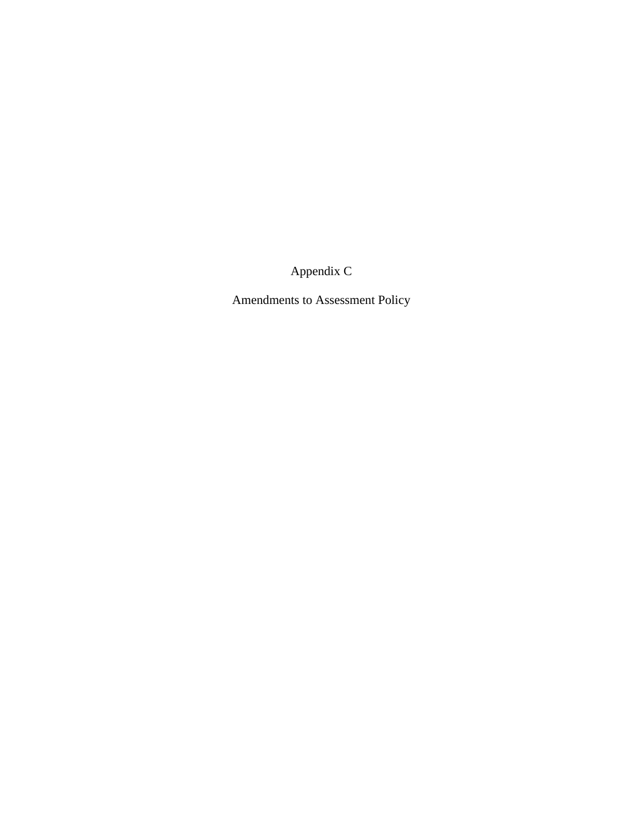Appendix C

Amendments to Assessment Policy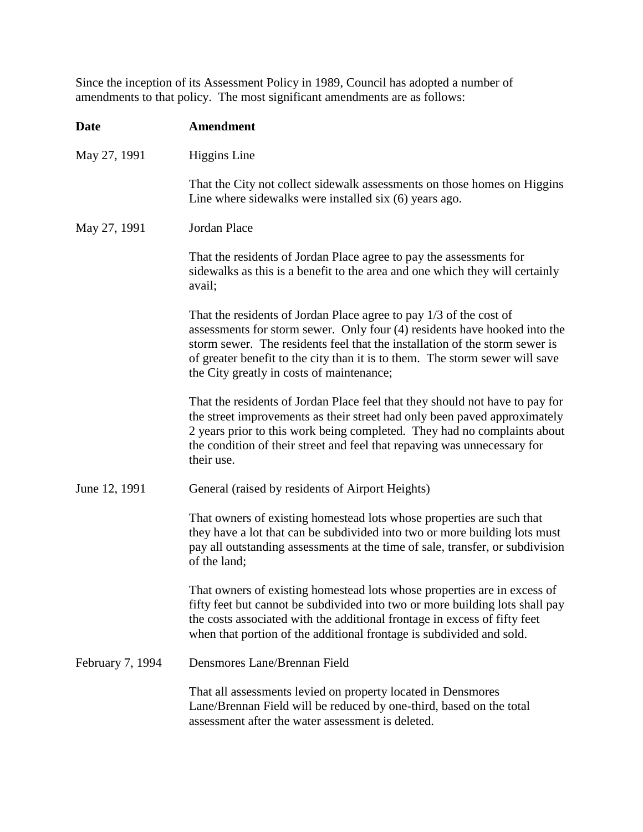Since the inception of its Assessment Policy in 1989, Council has adopted a number of amendments to that policy. The most significant amendments are as follows:

| <b>Date</b>      | <b>Amendment</b>                                                                                                                                                                                                                                                                                                                                            |
|------------------|-------------------------------------------------------------------------------------------------------------------------------------------------------------------------------------------------------------------------------------------------------------------------------------------------------------------------------------------------------------|
| May 27, 1991     | <b>Higgins</b> Line                                                                                                                                                                                                                                                                                                                                         |
|                  | That the City not collect sidewalk assessments on those homes on Higgins<br>Line where sidewalks were installed six (6) years ago.                                                                                                                                                                                                                          |
| May 27, 1991     | Jordan Place                                                                                                                                                                                                                                                                                                                                                |
|                  | That the residents of Jordan Place agree to pay the assessments for<br>sidewalks as this is a benefit to the area and one which they will certainly<br>avail;                                                                                                                                                                                               |
|                  | That the residents of Jordan Place agree to pay 1/3 of the cost of<br>assessments for storm sewer. Only four (4) residents have hooked into the<br>storm sewer. The residents feel that the installation of the storm sewer is<br>of greater benefit to the city than it is to them. The storm sewer will save<br>the City greatly in costs of maintenance; |
|                  | That the residents of Jordan Place feel that they should not have to pay for<br>the street improvements as their street had only been paved approximately<br>2 years prior to this work being completed. They had no complaints about<br>the condition of their street and feel that repaving was unnecessary for<br>their use.                             |
| June 12, 1991    | General (raised by residents of Airport Heights)                                                                                                                                                                                                                                                                                                            |
|                  | That owners of existing homestead lots whose properties are such that<br>they have a lot that can be subdivided into two or more building lots must<br>pay all outstanding assessments at the time of sale, transfer, or subdivision<br>of the land;                                                                                                        |
|                  | That owners of existing homestead lots whose properties are in excess of<br>fifty feet but cannot be subdivided into two or more building lots shall pay<br>the costs associated with the additional frontage in excess of fifty feet<br>when that portion of the additional frontage is subdivided and sold.                                               |
| February 7, 1994 | Densmores Lane/Brennan Field                                                                                                                                                                                                                                                                                                                                |
|                  | That all assessments levied on property located in Densmores<br>Lane/Brennan Field will be reduced by one-third, based on the total<br>assessment after the water assessment is deleted.                                                                                                                                                                    |